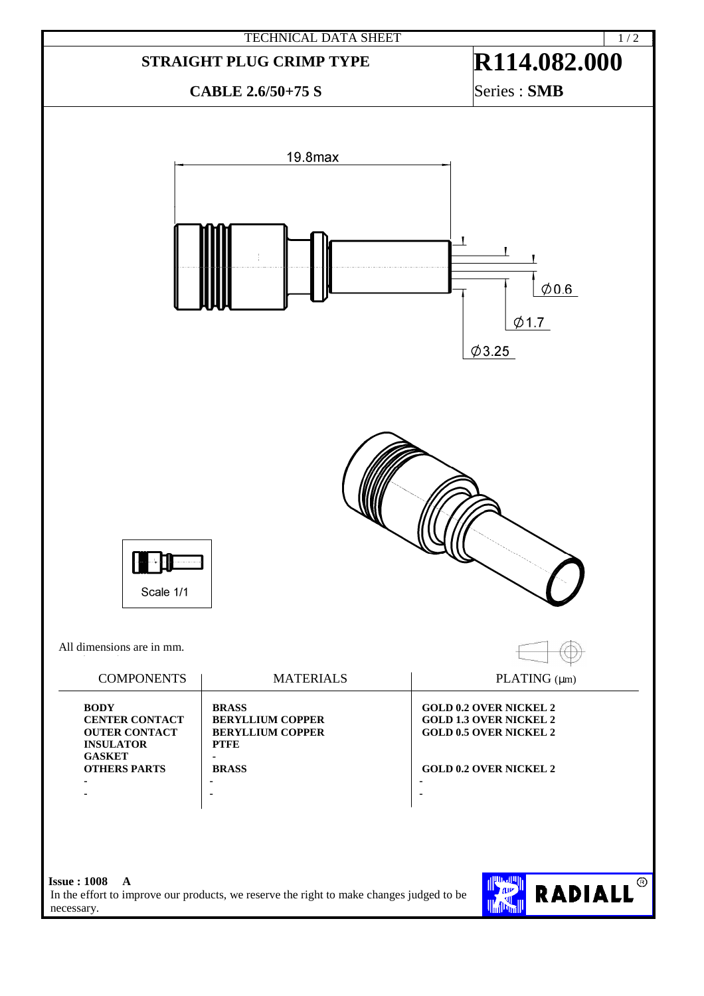

In the effort to improve our products, we reserve the right to make changes judged to be necessary.